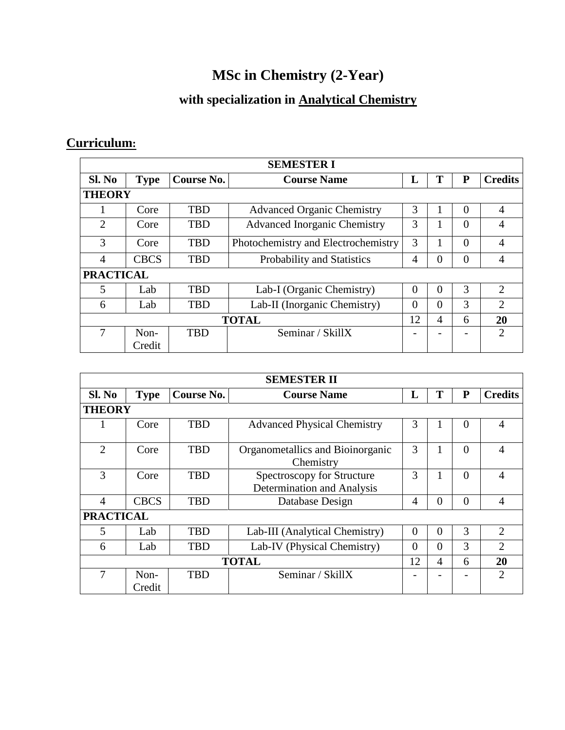## **MSc in Chemistry (2-Year)**

## **with specialization in Analytical Chemistry**

## **Curriculum:**

| <b>SEMESTER I</b>           |             |            |                                     |    |          |          |                |  |  |
|-----------------------------|-------------|------------|-------------------------------------|----|----------|----------|----------------|--|--|
| Sl. No                      | <b>Type</b> | Course No. | <b>Course Name</b>                  | L  | Т        | P        | <b>Credits</b> |  |  |
| <b>THEORY</b>               |             |            |                                     |    |          |          |                |  |  |
|                             | Core        | <b>TBD</b> | <b>Advanced Organic Chemistry</b>   | 3  |          | $\Omega$ | 4              |  |  |
| $\mathcal{D}_{\mathcal{L}}$ | Core        | <b>TBD</b> | <b>Advanced Inorganic Chemistry</b> | 3  |          | $\theta$ | 4              |  |  |
| 3                           | Core        | <b>TBD</b> | Photochemistry and Electrochemistry | 3  |          | $\theta$ | 4              |  |  |
| 4                           | <b>CBCS</b> | <b>TBD</b> | Probability and Statistics          | 4  | $\Omega$ | $\theta$ | 4              |  |  |
| <b>PRACTICAL</b>            |             |            |                                     |    |          |          |                |  |  |
| 5                           | Lab         | <b>TBD</b> | Lab-I (Organic Chemistry)           | 0  | $\Omega$ | 3        | $\mathfrak{D}$ |  |  |
| 6                           | Lab         | <b>TBD</b> | Lab-II (Inorganic Chemistry)        | 0  | $\Omega$ | 3        | $\overline{2}$ |  |  |
| <b>TOTAL</b>                |             |            |                                     | 12 | 4        | 6        | 20             |  |  |
|                             | Non-        | <b>TBD</b> | Seminar / SkillX                    |    |          |          | $\mathfrak{D}$ |  |  |
|                             | Credit      |            |                                     |    |          |          |                |  |  |

| <b>SEMESTER II</b> |                  |            |                                                          |                |          |           |                |  |  |
|--------------------|------------------|------------|----------------------------------------------------------|----------------|----------|-----------|----------------|--|--|
| Sl. No             | <b>Type</b>      | Course No. | <b>Course Name</b>                                       | L              | T        | ${\bf P}$ | <b>Credits</b> |  |  |
|                    | <b>THEORY</b>    |            |                                                          |                |          |           |                |  |  |
|                    | Core             | <b>TBD</b> | <b>Advanced Physical Chemistry</b>                       | 3              |          | $\theta$  | 4              |  |  |
| $\overline{2}$     | Core             | <b>TBD</b> | Organometallics and Bioinorganic<br>Chemistry            | 3              |          | $\Omega$  | 4              |  |  |
| 3                  | Core             | <b>TBD</b> | Spectroscopy for Structure<br>Determination and Analysis | 3              |          | $\Omega$  | 4              |  |  |
| $\overline{A}$     | <b>CBCS</b>      | <b>TBD</b> | Database Design                                          | $\overline{4}$ | $\theta$ | $\theta$  | $\overline{4}$ |  |  |
|                    | <b>PRACTICAL</b> |            |                                                          |                |          |           |                |  |  |
| 5                  | Lab              | TBD        | Lab-III (Analytical Chemistry)                           | $\overline{0}$ | $\Omega$ | 3         | $\overline{2}$ |  |  |
| 6                  | Lab              | <b>TBD</b> | Lab-IV (Physical Chemistry)                              | $\theta$       | $\theta$ | 3         | $\overline{2}$ |  |  |
| <b>TOTAL</b>       |                  |            |                                                          | 12             | 4        | 6         | 20             |  |  |
| 7                  | $Non-$<br>Credit | <b>TBD</b> | Seminar / SkillX                                         |                |          |           | $\mathfrak{D}$ |  |  |